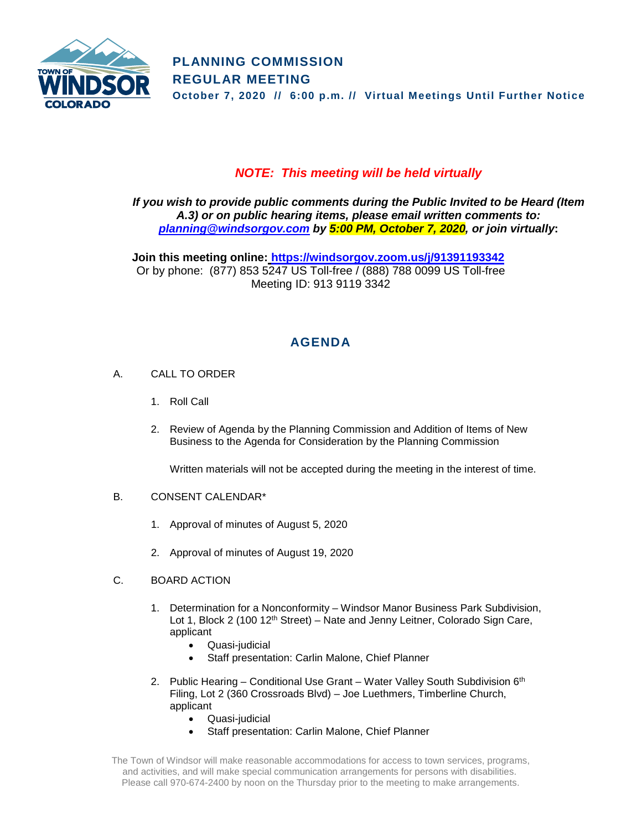

# *NOTE: This meeting will be held virtually*

*If you wish to provide public comments during the Public Invited to be Heard (Item A.3) or on public hearing items, please email written comments to: [planning@windsorgov.com](mailto:planning@windsorgov.com) by 5:00 PM, October 7, 2020, or join virtually***:**

**Join this meeting online: <https://windsorgov.zoom.us/j/91391193342>** Or by phone: (877) 853 5247 US Toll-free / (888) 788 0099 US Toll-free Meeting ID: 913 9119 3342

# **AGENDA**

- A. CALL TO ORDER
	- 1. Roll Call
	- 2. Review of Agenda by the Planning Commission and Addition of Items of New Business to the Agenda for Consideration by the Planning Commission

Written materials will not be accepted during the meeting in the interest of time.

## B. CONSENT CALENDAR\*

- 1. Approval of minutes of August 5, 2020
- 2. Approval of minutes of August 19, 2020
- C. BOARD ACTION
	- 1. Determination for a Nonconformity Windsor Manor Business Park Subdivision, Lot 1, Block 2 (100 12<sup>th</sup> Street) – Nate and Jenny Leitner, Colorado Sign Care, applicant
		- Quasi-judicial
		- Staff presentation: Carlin Malone, Chief Planner
	- 2. Public Hearing Conditional Use Grant Water Valley South Subdivision  $6<sup>th</sup>$ Filing, Lot 2 (360 Crossroads Blvd) – Joe Luethmers, Timberline Church, applicant
		- Quasi-judicial
		- Staff presentation: Carlin Malone, Chief Planner

The Town of Windsor will make reasonable accommodations for access to town services, programs, and activities, and will make special communication arrangements for persons with disabilities. Please call 970-674-2400 by noon on the Thursday prior to the meeting to make arrangements.